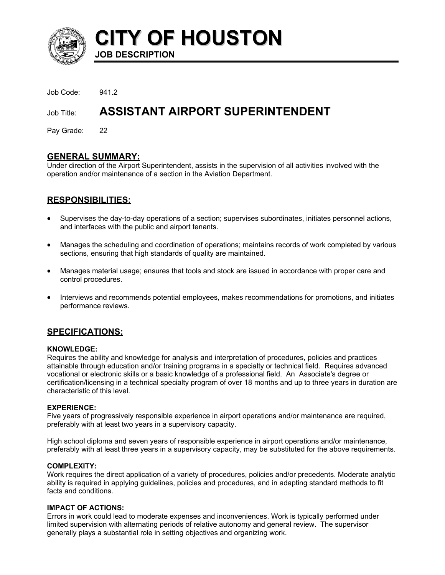

**CITY OF HOUSTON JOB DESCRIPTION** 

Job Code: 941.2

# Job Title: **ASSISTANT AIRPORT SUPERINTENDENT**

Pay Grade: 22

# **GENERAL SUMMARY:**

Under direction of the Airport Superintendent, assists in the supervision of all activities involved with the operation and/or maintenance of a section in the Aviation Department.

# **RESPONSIBILITIES:**

- Supervises the day-to-day operations of a section; supervises subordinates, initiates personnel actions, and interfaces with the public and airport tenants.
- Manages the scheduling and coordination of operations; maintains records of work completed by various sections, ensuring that high standards of quality are maintained.
- Manages material usage; ensures that tools and stock are issued in accordance with proper care and control procedures.
- Interviews and recommends potential employees, makes recommendations for promotions, and initiates performance reviews.

# **SPECIFICATIONS:**

#### **KNOWLEDGE:**

Requires the ability and knowledge for analysis and interpretation of procedures, policies and practices attainable through education and/or training programs in a specialty or technical field. Requires advanced vocational or electronic skills or a basic knowledge of a professional field. An Associate's degree or certification/licensing in a technical specialty program of over 18 months and up to three years in duration are characteristic of this level.

#### **EXPERIENCE:**

Five years of progressively responsible experience in airport operations and/or maintenance are required, preferably with at least two years in a supervisory capacity.

High school diploma and seven years of responsible experience in airport operations and/or maintenance, preferably with at least three years in a supervisory capacity, may be substituted for the above requirements.

## **COMPLEXITY:**

Work requires the direct application of a variety of procedures, policies and/or precedents. Moderate analytic ability is required in applying guidelines, policies and procedures, and in adapting standard methods to fit facts and conditions.

## **IMPACT OF ACTIONS:**

Errors in work could lead to moderate expenses and inconveniences. Work is typically performed under limited supervision with alternating periods of relative autonomy and general review. The supervisor generally plays a substantial role in setting objectives and organizing work.